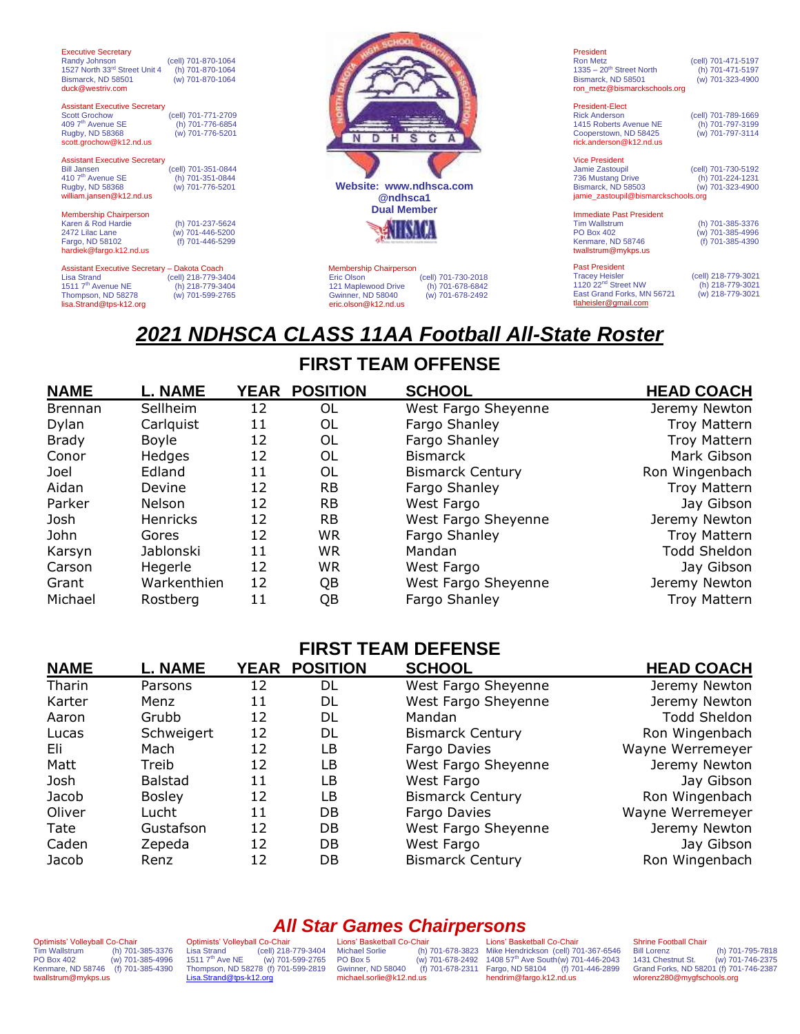| <b>Executive Secretary</b>                   |                     |                                              |
|----------------------------------------------|---------------------|----------------------------------------------|
| Randy Johnson                                | (cell) 701-870-1064 |                                              |
| 1527 North 33rd Street Unit 4                | (h) 701-870-1064    |                                              |
|                                              | (w) 701-870-1064    |                                              |
| Bismarck, ND 58501<br>duck@westriv.com       |                     |                                              |
|                                              |                     |                                              |
|                                              |                     |                                              |
| <b>Assistant Executive Secretary</b>         |                     |                                              |
| <b>Scott Grochow</b>                         | (cell) 701-771-2709 |                                              |
| 409 7 <sup>th</sup> Avenue SE                | (h) 701-776-6854    |                                              |
| Rugby, ND 58368                              | (w) 701-776-5201    |                                              |
| scott.grochow@k12.nd.us                      |                     |                                              |
|                                              |                     |                                              |
| <b>Assistant Executive Secretary</b>         |                     |                                              |
| <b>Bill Jansen</b>                           | (cell) 701-351-0844 |                                              |
| 410 7 <sup>th</sup> Avenue SE                | (h) 701-351-0844    | Website: www.ndhsca.com                      |
| Rugby, ND 58368                              | (w) 701-776-5201    |                                              |
| william.jansen@k12.nd.us                     |                     | @ndhsca1                                     |
|                                              |                     | <b>Dual Member</b>                           |
| <b>Membership Chairperson</b>                |                     |                                              |
| Karen & Rod Hardie                           | (h) 701-237-5624    |                                              |
| 2472 Lilac Lane                              | (w) 701-446-5200    |                                              |
| Fargo, ND 58102                              | (f) 701-446-5299    |                                              |
| hardiek@fargo.k12.nd.us                      |                     |                                              |
| Assistant Executive Secretary - Dakota Coach |                     | <b>Membership Chairperson</b>                |
| <b>Lisa Strand</b>                           | (cell) 218-779-3404 | Eric Olson<br>(cell) 701-730-2018            |
| 1511 7 <sup>th</sup> Avenue NE               |                     |                                              |
|                                              | (h) 218-779-3404    | 121 Maplewood Drive<br>(h) 701-678-6842      |
| Thompson, ND 58278                           | (w) 701-599-2765    | <b>Gwinner, ND 58040</b><br>(w) 701-678-2492 |
| lisa.Strand@tps-k12.org                      |                     | eric.olson@k12.nd.us                         |

President<br>Ron Metz (cell) 701-471-5197<br>(h) 701-471-5197 1335 – 20<sup>th</sup> Street North (h) 701-471-5197<br>Bismarck, ND 58501 (w) 701-323-4900 Bismarck, ND 58501 ron\_metz@bismarckschools.org

President-Elect President-Liect<br>
Rick Anderson (cell) 701-789-1669<br>
1415 Roberts Avenue NE (h) 701-797-3199 1415 Roberts Avenue NE (h) 701-797-3199 Cooperstown, ND 58425 (w) 701-797-3114 [rick.anderson@k12.nd.us](mailto:rick.anderson@k12.nd.us)

| <b>Vice President</b>               |                     |  |  |
|-------------------------------------|---------------------|--|--|
| Jamie Zastoupil                     | (cell) 701-730-5192 |  |  |
| 736 Mustang Drive                   | (h) 701-224-1231    |  |  |
| Bismarck, ND 58503                  | (w) 701-323-4900    |  |  |
| jamie zastoupil@bismarckschools.org |                     |  |  |
|                                     |                     |  |  |

Immediate Past President<br>Tim Wallstrum<br>PO Box 402 Tim Wallstrum (h) 701-385-3376 PO Box 402 (w) 701-385-4996 Kenmare, ND 58746 (f) 701-385-4390 twallstrum@mykps.us

Past President cell) 218-779-3021)<br>1120 22<sup>nd</sup> Street NW (h) 218-779-3021<br>East Grand Forks, MN 56721 (w) 218-779-3021 tlaheisler@gmail.com

# *2021 NDHSCA CLASS 11AA Football All-State Roster*

## **FIRST TEAM OFFENSE**

| <b>NAME</b>    | <b>L. NAME</b>  |    | <b>YEAR POSITION</b> | <b>SCHOOL</b>           | <b>HEAD COACH</b>   |
|----------------|-----------------|----|----------------------|-------------------------|---------------------|
| <b>Brennan</b> | Sellheim        | 12 | OL                   | West Fargo Sheyenne     | Jeremy Newton       |
| Dylan          | Carlguist       | 11 | 0L                   | Fargo Shanley           | <b>Troy Mattern</b> |
| <b>Brady</b>   | Boyle           | 12 | 0L                   | Fargo Shanley           | <b>Troy Mattern</b> |
| Conor          | <b>Hedges</b>   | 12 | OL                   | <b>Bismarck</b>         | Mark Gibson         |
| Joel           | Edland          | 11 | OL                   | <b>Bismarck Century</b> | Ron Wingenbach      |
| Aidan          | Devine          | 12 | <b>RB</b>            | Fargo Shanley           | <b>Troy Mattern</b> |
| Parker         | Nelson          | 12 | <b>RB</b>            | West Fargo              | Jay Gibson          |
| Josh           | <b>Henricks</b> | 12 | <b>RB</b>            | West Fargo Sheyenne     | Jeremy Newton       |
| John           | Gores           | 12 | <b>WR</b>            | Fargo Shanley           | <b>Troy Mattern</b> |
| Karsyn         | Jablonski       | 11 | <b>WR</b>            | Mandan                  | <b>Todd Sheldon</b> |
| Carson         | Hegerle         | 12 | <b>WR</b>            | West Fargo              | Jay Gibson          |
| Grant          | Warkenthien     | 12 | QB                   | West Fargo Sheyenne     | Jeremy Newton       |
| Michael        | Rostberg        | 11 | QΒ                   | Fargo Shanley           | Troy Mattern        |

## **FIRST TEAM DEFENSE**

| <b>NAME</b> | <b>L. NAME</b> | YEAR | <b>POSITION</b> | <b>SCHOOL</b>           | <b>HEAD COACH</b> |
|-------------|----------------|------|-----------------|-------------------------|-------------------|
| Tharin      | Parsons        | 12   | DL              | West Fargo Sheyenne     | Jeremy Newton     |
| Karter      | Menz           | 11   | DL              | West Fargo Sheyenne     | Jeremy Newton     |
| Aaron       | Grubb          | 12   | DL              | Mandan                  | Todd Sheldon      |
| Lucas       | Schweigert     | 12   | DL              | <b>Bismarck Century</b> | Ron Wingenbach    |
| Eli         | Mach           | 12   | LB              | Fargo Davies            | Wayne Werremeyer  |
| Matt        | Treib          | 12   | LB              | West Fargo Sheyenne     | Jeremy Newton     |
| Josh        | <b>Balstad</b> | 11   | LB              | West Fargo              | Jay Gibson        |
| Jacob       | <b>Bosley</b>  | 12   | LB              | <b>Bismarck Century</b> | Ron Wingenbach    |
| Oliver      | Lucht          | 11   | DB              | Fargo Davies            | Wayne Werremeyer  |
| Tate        | Gustafson      | 12   | DB              | West Fargo Sheyenne     | Jeremy Newton     |
| Caden       | Zepeda         | 12   | DB              | West Fargo              | Jay Gibson        |
| Jacob       | Renz           | 12   | DB              | <b>Bismarck Century</b> | Ron Wingenbach    |

#### Optimists' Volleyball Co-Chair<br>Tim Wallstrum (h) 701-Tim Wallstrum (h) 701-385-3376 PO Box 402 (w) 701-385-4996 Kenmare, ND 58746 (f) 701-385-4390 twallstrum@mykps.us

Optimists' Volleyball Co-Chair Lisa Strand (cell) 218-779-3404 1511 7th Ave NE (w) 701-599-2765 Thompson, ND 58278 (f) 701-599-2819 [Lisa.Strand@tps-k12.org](mailto:Lisa.Strand@tps-k12.org)

*All Star Games Chairpersons* Lions' Basketball Co-Chair<br>Michael Sorlie (h)<br>PO Box 5 (w) Gwinner, ND 58040 michael.sorlie@k12.nd.us

Michael Sorlie (h) 701-678-3823 PO Box 5 (w) 701-678-2492 Mike Hendrickson (cell) 701-367-6546 1408 57th Ave South(w) 701-446-2043 Fargo, ND 58104 (f) 701-446-2899 Lions' Basketball Co-Chair hendrim@fargo.k12.nd.us

## Shrine Football Chair<br>Bill Lorenz

Bill Lorenz (h) 701-795-7818<br>1431 Chestnut St. (w) 701-746-2375 1431 Chestnut St. (w) 701-746-2375 Grand Forks, ND 58201 (f) 701-746-2387 wlorenz280@mygfschools.org